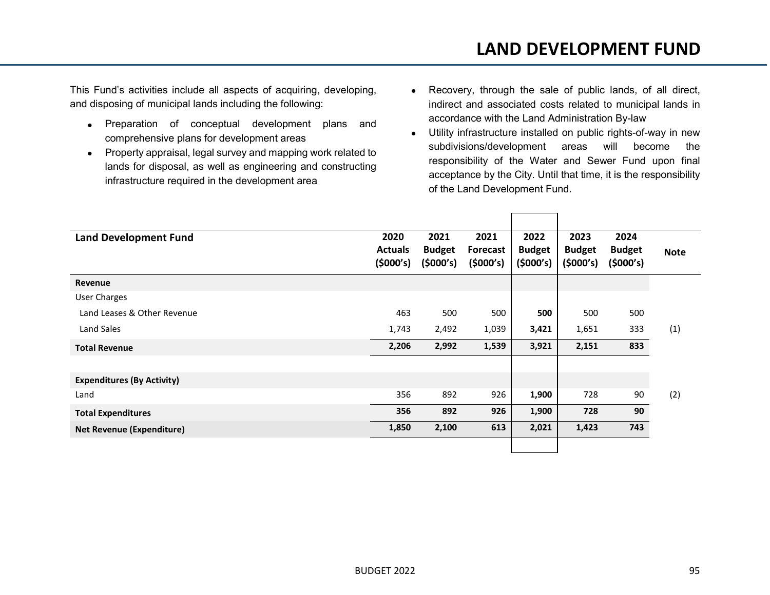This Fund's activities include all aspects of acquiring, developing, and disposing of municipal lands including the following:

- Preparation of conceptual development plans and comprehensive plans for development areas
- Property appraisal, legal survey and mapping work related to lands for disposal, as well as engineering and constructing infrastructure required in the development area
- Recovery, through the sale of public lands, of all direct, indirect and associated costs related to municipal lands in accordance with the Land Administration By-law
- Utility infrastructure installed on public rights-of-way in new subdivisions/development areas will become the responsibility of the Water and Sewer Fund upon final acceptance by the City. Until that time, it is the responsibility of the Land Development Fund.

| <b>Land Development Fund</b>      | 2020<br><b>Actuals</b><br>(5000's) | 2021<br><b>Budget</b><br>(5000's) | 2021<br><b>Forecast</b><br>(5000's) | 2022<br><b>Budget</b><br>(5000's) | 2023<br><b>Budget</b><br>(5000's) | 2024<br><b>Budget</b><br>(5000's) | <b>Note</b> |
|-----------------------------------|------------------------------------|-----------------------------------|-------------------------------------|-----------------------------------|-----------------------------------|-----------------------------------|-------------|
| Revenue                           |                                    |                                   |                                     |                                   |                                   |                                   |             |
| <b>User Charges</b>               |                                    |                                   |                                     |                                   |                                   |                                   |             |
| Land Leases & Other Revenue       | 463                                | 500                               | 500                                 | 500                               | 500                               | 500                               |             |
| Land Sales                        | 1,743                              | 2,492                             | 1,039                               | 3,421                             | 1,651                             | 333                               | (1)         |
| <b>Total Revenue</b>              | 2,206                              | 2,992                             | 1,539                               | 3,921                             | 2,151                             | 833                               |             |
|                                   |                                    |                                   |                                     |                                   |                                   |                                   |             |
| <b>Expenditures (By Activity)</b> |                                    |                                   |                                     |                                   |                                   |                                   |             |
| Land                              | 356                                | 892                               | 926                                 | 1,900                             | 728                               | 90                                | (2)         |
| <b>Total Expenditures</b>         | 356                                | 892                               | 926                                 | 1,900                             | 728                               | 90                                |             |
| <b>Net Revenue (Expenditure)</b>  | 1,850                              | 2,100                             | 613                                 | 2,021                             | 1,423                             | 743                               |             |
|                                   |                                    |                                   |                                     |                                   |                                   |                                   |             |